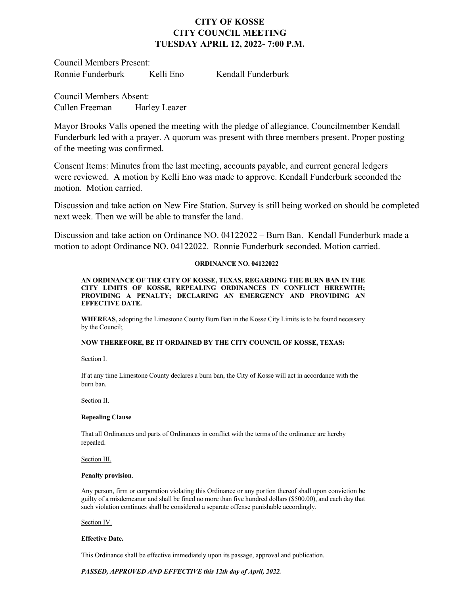# **CITY OF KOSSE CITY COUNCIL MEETING TUESDAY APRIL 12, 2022- 7:00 P.M.**

Council Members Present: Ronnie Funderburk Kelli Eno Kendall Funderburk

Council Members Absent: Cullen Freeman Harley Leazer

Mayor Brooks Valls opened the meeting with the pledge of allegiance. Councilmember Kendall Funderburk led with a prayer. A quorum was present with three members present. Proper posting of the meeting was confirmed.

Consent Items: Minutes from the last meeting, accounts payable, and current general ledgers were reviewed. A motion by Kelli Eno was made to approve. Kendall Funderburk seconded the motion. Motion carried.

Discussion and take action on New Fire Station. Survey is still being worked on should be completed next week. Then we will be able to transfer the land.

Discussion and take action on Ordinance NO. 04122022 – Burn Ban. Kendall Funderburk made a motion to adopt Ordinance NO. 04122022. Ronnie Funderburk seconded. Motion carried.

# **ORDINANCE NO. 04122022**

**AN ORDINANCE OF THE CITY OF KOSSE, TEXAS, REGARDING THE BURN BAN IN THE CITY LIMITS OF KOSSE, REPEALING ORDINANCES IN CONFLICT HEREWITH; PROVIDING A PENALTY; DECLARING AN EMERGENCY AND PROVIDING AN EFFECTIVE DATE.**

**WHEREAS**, adopting the Limestone County Burn Ban in the Kosse City Limits is to be found necessary by the Council;

# **NOW THEREFORE, BE IT ORDAINED BY THE CITY COUNCIL OF KOSSE, TEXAS:**

Section I.

If at any time Limestone County declares a burn ban, the City of Kosse will act in accordance with the burn ban.

### Section II.

# **Repealing Clause**

That all Ordinances and parts of Ordinances in conflict with the terms of the ordinance are hereby repealed.

Section III.

### **Penalty provision**.

Any person, firm or corporation violating this Ordinance or any portion thereof shall upon conviction be guilty of a misdemeanor and shall be fined no more than five hundred dollars (\$500.00), and each day that such violation continues shall be considered a separate offense punishable accordingly.

Section IV.

### **Effective Date.**

This Ordinance shall be effective immediately upon its passage, approval and publication.

*PASSED, APPROVED AND EFFECTIVE this 12th day of April, 2022.*